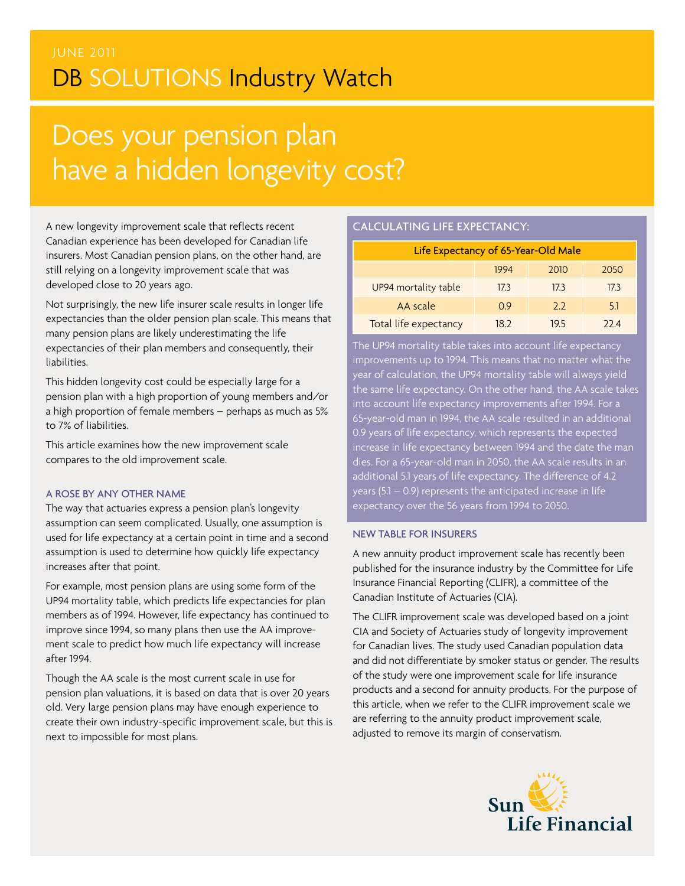### JUNE 2011 DB SOLUTIONS Industry Watch

# Does your pension plan have a hidden longevity cost?

A new longevity improvement scale that reflects recent Canadian experience has been developed for Canadian life insurers. Most Canadian pension plans, on the other hand, are still relying on a longevity improvement scale that was developed close to 20 years ago.

Not surprisingly, the new life insurer scale results in longer life expectancies than the older pension plan scale. This means that many pension plans are likely underestimating the life expectancies of their plan members and consequently, their liabilities.

This hidden longevity cost could be especially large for a pension plan with a high proportion of young members and/or a high proportion of female members – perhaps as much as 5% to 7% of liabilities.

This article examines how the new improvement scale compares to the old improvement scale.

### A rose by any other name

The way that actuaries express a pension plan's longevity assumption can seem complicated. Usually, one assumption is used for life expectancy at a certain point in time and a second assumption is used to determine how quickly life expectancy increases after that point.

For example, most pension plans are using some form of the UP94 mortality table, which predicts life expectancies for plan members as of 1994. However, life expectancy has continued to improve since 1994, so many plans then use the AA improvement scale to predict how much life expectancy will increase after 1994.

Though the AA scale is the most current scale in use for pension plan valuations, it is based on data that is over 20 years old. Very large pension plans may have enough experience to create their own industry-specific improvement scale, but this is next to impossible for most plans.

### calculating life expectancy:

| Life Expectancy of 65-Year-Old Male |      |      |      |  |  |  |
|-------------------------------------|------|------|------|--|--|--|
|                                     | 1994 | 2010 | 2050 |  |  |  |
| UP94 mortality table                | 17.3 | 17.3 | 17.3 |  |  |  |
| AA scale                            | 0.9  | 2.2  | 5.1  |  |  |  |
| Total life expectancy               | 18.2 | 19.5 | 22 4 |  |  |  |

The UP94 mortality table takes into account life expectancy improvements up to 1994. This means that no matter  $\overset{\text{}}{\text{w}}$  hat the year of calculation, the UP94 mortality table will always yield the same life expectancy. On the other hand, the AA scale takes into account life expectancy improvements after 1994. For a 65-year-old man in 1994, the AA scale resulted in an additional 0.9 years of life expectancy, which represents the expected increase in life expectancy between 1994 and the date the man dies. For a 65-year-old man in 2050, the AA scale results in an additional 5.1 years of life expectancy. The difference of 4.2 years (5.1 – 0.9) represents the anticipated increase in life expectancy over the 56 years from 1994 to 2050.

### New table for insurers

A new annuity product improvement scale has recently been published for the insurance industry by the Committee for Life Insurance Financial Reporting (CLIFR), a committee of the Canadian Institute of Actuaries (CIA).

The CLIFR improvement scale was developed based on a joint CIA and Society of Actuaries study of longevity improvement for Canadian lives. The study used Canadian population data and did not differentiate by smoker status or gender. The results of the study were one improvement scale for life insurance products and a second for annuity products. For the purpose of this article, when we refer to the CLIFR improvement scale we are referring to the annuity product improvement scale, adjusted to remove its margin of conservatism.